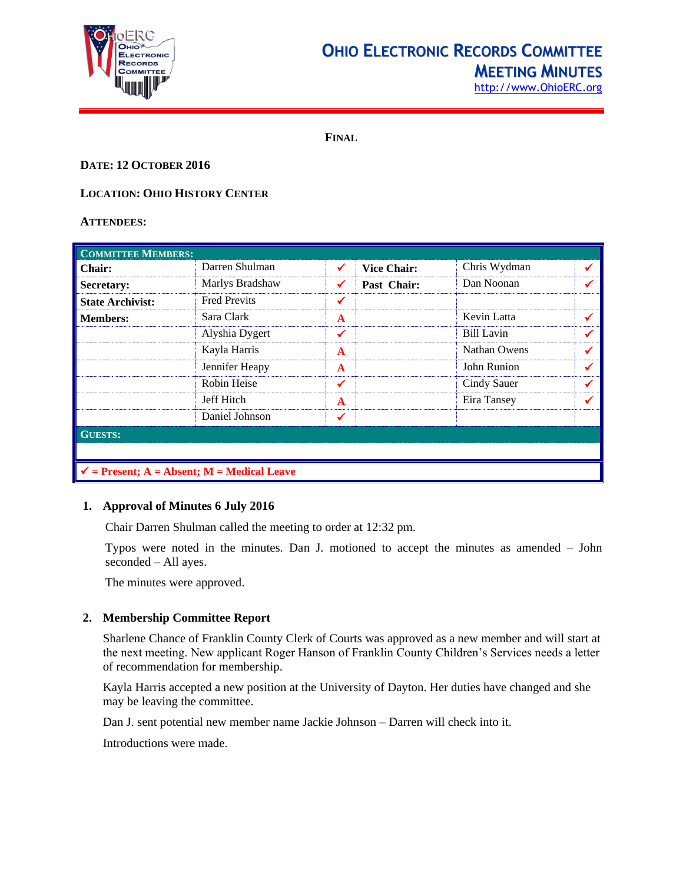

# **OHIO ELECTRONIC RECORDS COMMITTEE MEETING MINUTES**

[http://www.OhioERC.org](http://www.ohioerc.org/)

**FINAL**

# **DATE: 12 OCTOBER 2016**

# **LOCATION: OHIO HISTORY CENTER**

### **ATTENDEES:**

| <b>COMMITTEE MEMBERS:</b>                             |                     |              |                    |                     |   |  |
|-------------------------------------------------------|---------------------|--------------|--------------------|---------------------|---|--|
| <b>Chair:</b>                                         | Darren Shulman      | ✔            | <b>Vice Chair:</b> | Chris Wydman        | √ |  |
| Secretary:                                            | Marlys Bradshaw     | ✔            | Past Chair:        | Dan Noonan          |   |  |
| <b>State Archivist:</b>                               | <b>Fred Previts</b> | ✔            |                    |                     |   |  |
| <b>Members:</b>                                       | Sara Clark          | $\mathbf{A}$ |                    | Kevin Latta         |   |  |
|                                                       | Alyshia Dygert      | ✓            |                    | <b>Bill Lavin</b>   | ✔ |  |
|                                                       | Kayla Harris        | $\mathbf{A}$ |                    | <b>Nathan Owens</b> |   |  |
|                                                       | Jennifer Heapy      | $\mathbf{A}$ |                    | John Runion         |   |  |
|                                                       | Robin Heise         | ✔            |                    | <b>Cindy Sauer</b>  |   |  |
|                                                       | Jeff Hitch          | $\mathbf{A}$ |                    | Eira Tansey         |   |  |
|                                                       | Daniel Johnson      |              |                    |                     |   |  |
| <b>GUESTS:</b>                                        |                     |              |                    |                     |   |  |
|                                                       |                     |              |                    |                     |   |  |
| $\checkmark$ = Present; A = Absent; M = Medical Leave |                     |              |                    |                     |   |  |

## **1. Approval of Minutes 6 July 2016**

Chair Darren Shulman called the meeting to order at 12:32 pm.

Typos were noted in the minutes. Dan J. motioned to accept the minutes as amended – John seconded – All ayes.

The minutes were approved.

## **2. Membership Committee Report**

Sharlene Chance of Franklin County Clerk of Courts was approved as a new member and will start at the next meeting. New applicant Roger Hanson of Franklin County Children's Services needs a letter of recommendation for membership.

Kayla Harris accepted a new position at the University of Dayton. Her duties have changed and she may be leaving the committee.

Dan J. sent potential new member name Jackie Johnson – Darren will check into it.

Introductions were made.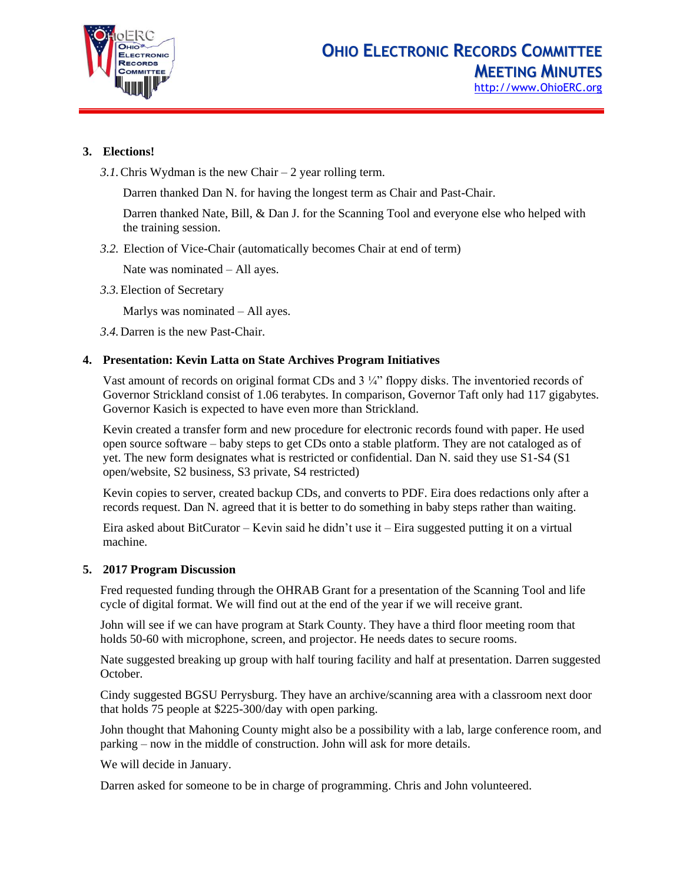

# **3. Elections!**

*3.1.*Chris Wydman is the new Chair – 2 year rolling term.

Darren thanked Dan N. for having the longest term as Chair and Past-Chair.

Darren thanked Nate, Bill, & Dan J. for the Scanning Tool and everyone else who helped with the training session.

*3.2.* Election of Vice-Chair (automatically becomes Chair at end of term)

Nate was nominated – All ayes.

*3.3.*Election of Secretary

Marlys was nominated – All ayes.

*3.4.*Darren is the new Past-Chair.

# **4. Presentation: Kevin Latta on State Archives Program Initiatives**

Vast amount of records on original format CDs and 3 ¼" floppy disks. The inventoried records of Governor Strickland consist of 1.06 terabytes. In comparison, Governor Taft only had 117 gigabytes. Governor Kasich is expected to have even more than Strickland.

Kevin created a transfer form and new procedure for electronic records found with paper. He used open source software – baby steps to get CDs onto a stable platform. They are not cataloged as of yet. The new form designates what is restricted or confidential. Dan N. said they use S1-S4 (S1 open/website, S2 business, S3 private, S4 restricted)

Kevin copies to server, created backup CDs, and converts to PDF. Eira does redactions only after a records request. Dan N. agreed that it is better to do something in baby steps rather than waiting.

Eira asked about BitCurator – Kevin said he didn't use it – Eira suggested putting it on a virtual machine.

## **5. 2017 Program Discussion**

Fred requested funding through the OHRAB Grant for a presentation of the Scanning Tool and life cycle of digital format. We will find out at the end of the year if we will receive grant.

John will see if we can have program at Stark County. They have a third floor meeting room that holds 50-60 with microphone, screen, and projector. He needs dates to secure rooms.

Nate suggested breaking up group with half touring facility and half at presentation. Darren suggested October.

Cindy suggested BGSU Perrysburg. They have an archive/scanning area with a classroom next door that holds 75 people at \$225-300/day with open parking.

John thought that Mahoning County might also be a possibility with a lab, large conference room, and parking – now in the middle of construction. John will ask for more details.

We will decide in January.

Darren asked for someone to be in charge of programming. Chris and John volunteered.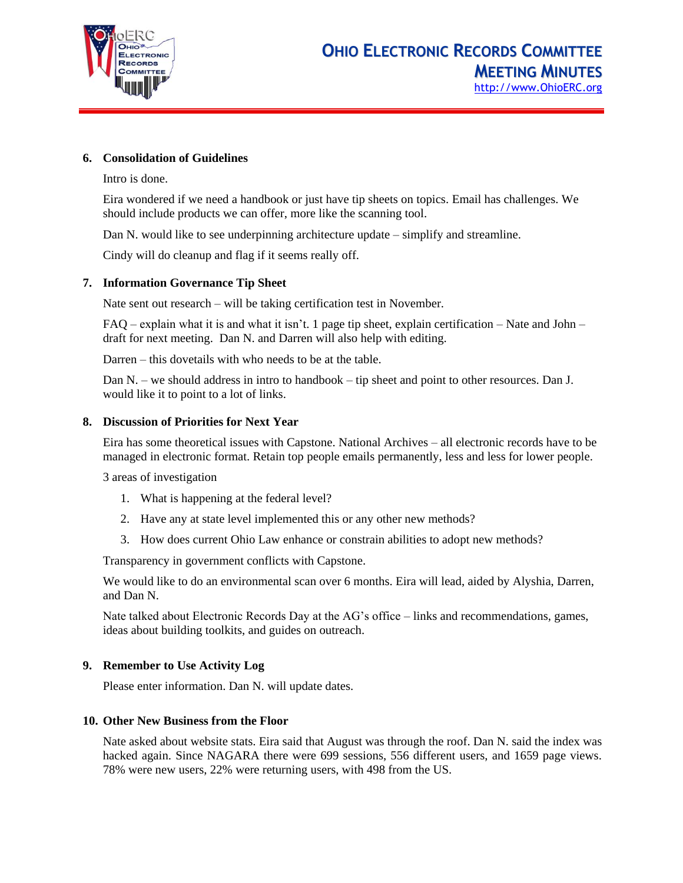

### **6. Consolidation of Guidelines**

Intro is done.

Eira wondered if we need a handbook or just have tip sheets on topics. Email has challenges. We should include products we can offer, more like the scanning tool.

Dan N. would like to see underpinning architecture update – simplify and streamline.

Cindy will do cleanup and flag if it seems really off.

### **7. Information Governance Tip Sheet**

Nate sent out research – will be taking certification test in November.

FAQ – explain what it is and what it isn't. 1 page tip sheet, explain certification – Nate and John – draft for next meeting. Dan N. and Darren will also help with editing.

Darren – this dovetails with who needs to be at the table.

Dan N. – we should address in intro to handbook – tip sheet and point to other resources. Dan J. would like it to point to a lot of links.

### **8. Discussion of Priorities for Next Year**

Eira has some theoretical issues with Capstone. National Archives – all electronic records have to be managed in electronic format. Retain top people emails permanently, less and less for lower people.

3 areas of investigation

- 1. What is happening at the federal level?
- 2. Have any at state level implemented this or any other new methods?
- 3. How does current Ohio Law enhance or constrain abilities to adopt new methods?

Transparency in government conflicts with Capstone.

We would like to do an environmental scan over 6 months. Eira will lead, aided by Alyshia, Darren, and Dan N.

Nate talked about Electronic Records Day at the AG's office – links and recommendations, games, ideas about building toolkits, and guides on outreach.

## **9. Remember to Use Activity Log**

Please enter information. Dan N. will update dates.

#### **10. Other New Business from the Floor**

Nate asked about website stats. Eira said that August was through the roof. Dan N. said the index was hacked again. Since NAGARA there were 699 sessions, 556 different users, and 1659 page views. 78% were new users, 22% were returning users, with 498 from the US.